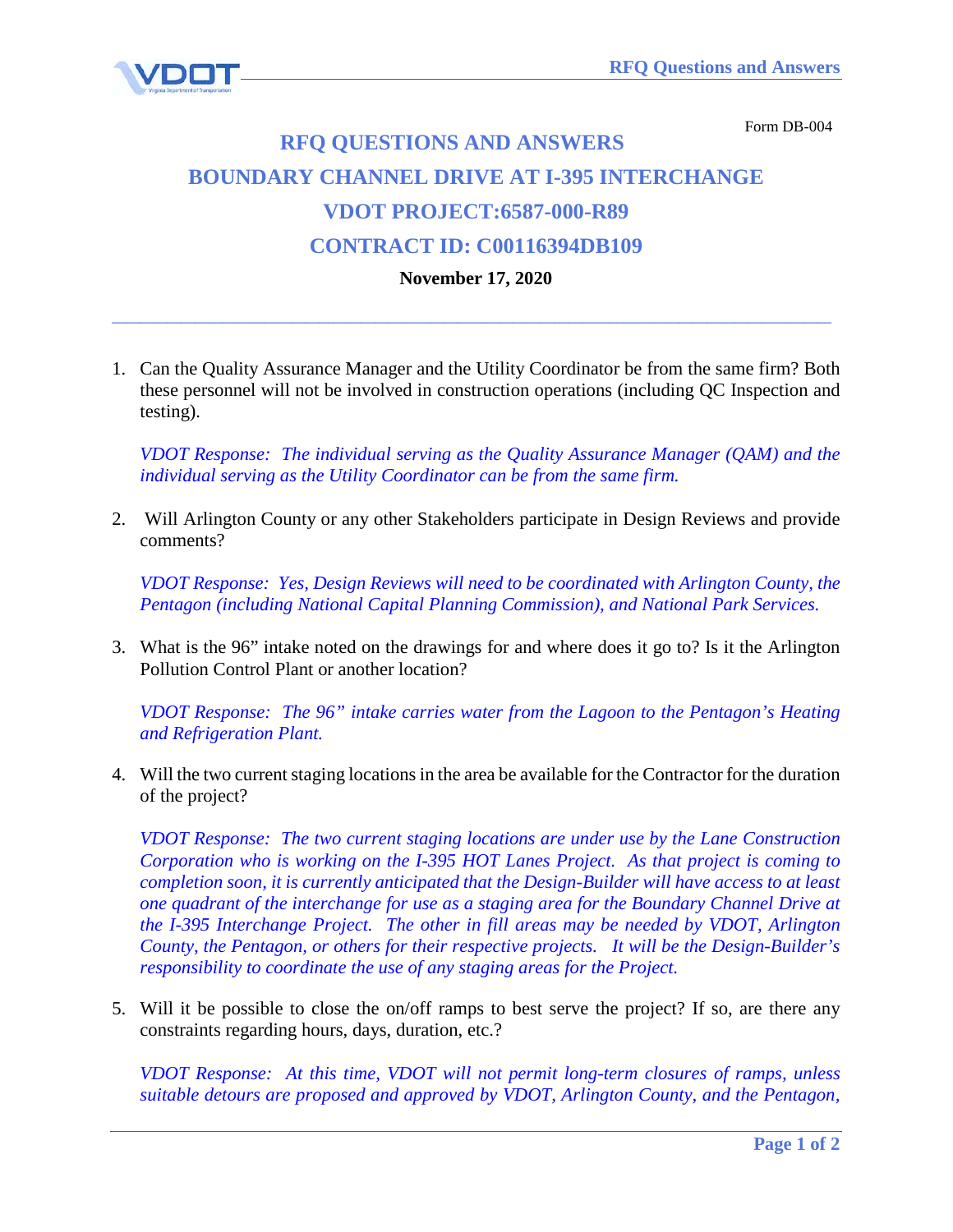

Form DB-004

## **RFQ QUESTIONS AND ANSWERS BOUNDARY CHANNEL DRIVE AT I-395 INTERCHANGE VDOT PROJECT:6587-000-R89 CONTRACT ID: C00116394DB109**

**November 17, 2020**

**\_\_\_\_\_\_\_\_\_\_\_\_\_\_\_\_\_\_\_\_\_\_\_\_\_\_\_\_\_\_\_\_\_\_\_\_\_\_\_\_\_\_\_\_\_\_\_\_\_\_\_\_**

1. Can the Quality Assurance Manager and the Utility Coordinator be from the same firm? Both these personnel will not be involved in construction operations (including QC Inspection and testing).

*VDOT Response: The individual serving as the Quality Assurance Manager (QAM) and the individual serving as the Utility Coordinator can be from the same firm.*

2. Will Arlington County or any other Stakeholders participate in Design Reviews and provide comments?

*VDOT Response: Yes, Design Reviews will need to be coordinated with Arlington County, the Pentagon (including National Capital Planning Commission), and National Park Services.*

3. What is the 96" intake noted on the drawings for and where does it go to? Is it the Arlington Pollution Control Plant or another location?

*VDOT Response: The 96" intake carries water from the Lagoon to the Pentagon's Heating and Refrigeration Plant.*

4. Will the two current staging locations in the area be available for the Contractor for the duration of the project?

*VDOT Response: The two current staging locations are under use by the Lane Construction Corporation who is working on the I-395 HOT Lanes Project. As that project is coming to completion soon, it is currently anticipated that the Design-Builder will have access to at least one quadrant of the interchange for use as a staging area for the Boundary Channel Drive at the I-395 Interchange Project. The other in fill areas may be needed by VDOT, Arlington County, the Pentagon, or others for their respective projects. It will be the Design-Builder's responsibility to coordinate the use of any staging areas for the Project.*

5. Will it be possible to close the on/off ramps to best serve the project? If so, are there any constraints regarding hours, days, duration, etc.?

*VDOT Response: At this time, VDOT will not permit long-term closures of ramps, unless suitable detours are proposed and approved by VDOT, Arlington County, and the Pentagon,*